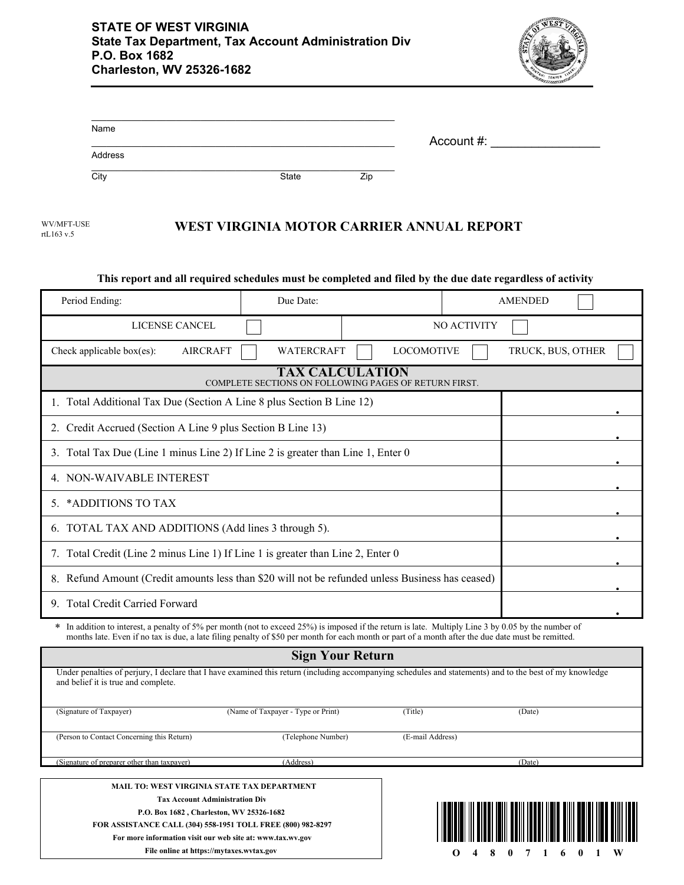

| Name                                                        |                                             |                                                                                                                                                                               |     |                   |             |                                                                                   |  |
|-------------------------------------------------------------|---------------------------------------------|-------------------------------------------------------------------------------------------------------------------------------------------------------------------------------|-----|-------------------|-------------|-----------------------------------------------------------------------------------|--|
| Address                                                     |                                             |                                                                                                                                                                               |     |                   | Account #:  |                                                                                   |  |
| City                                                        |                                             | State                                                                                                                                                                         | Zip |                   |             |                                                                                   |  |
|                                                             |                                             |                                                                                                                                                                               |     |                   |             |                                                                                   |  |
| WV/MFT-USE<br>rtL163 v.5                                    |                                             | WEST VIRGINIA MOTOR CARRIER ANNUAL REPORT                                                                                                                                     |     |                   |             |                                                                                   |  |
|                                                             |                                             |                                                                                                                                                                               |     |                   |             |                                                                                   |  |
|                                                             |                                             | This report and all required schedules must be completed and filed by the due date regardless of activity                                                                     |     |                   |             |                                                                                   |  |
| Period Ending:                                              |                                             | Due Date:                                                                                                                                                                     |     |                   |             | <b>AMENDED</b>                                                                    |  |
|                                                             | LICENSE CANCEL                              |                                                                                                                                                                               |     |                   | NO ACTIVITY |                                                                                   |  |
| Check applicable box(es):                                   | <b>AIRCRAFT</b>                             | WATERCRAFT                                                                                                                                                                    |     | <b>LOCOMOTIVE</b> |             | TRUCK, BUS, OTHER                                                                 |  |
|                                                             |                                             | <b>TAX CALCULATION</b><br>COMPLETE SECTIONS ON FOLLOWING PAGES OF RETURN FIRST.                                                                                               |     |                   |             |                                                                                   |  |
|                                                             |                                             | 1. Total Additional Tax Due (Section A Line 8 plus Section B Line 12)                                                                                                         |     |                   |             |                                                                                   |  |
| 2. Credit Accrued (Section A Line 9 plus Section B Line 13) |                                             |                                                                                                                                                                               |     |                   |             |                                                                                   |  |
|                                                             |                                             | 3. Total Tax Due (Line 1 minus Line 2) If Line 2 is greater than Line 1, Enter 0                                                                                              |     |                   |             |                                                                                   |  |
| 4. NON-WAIVABLE INTEREST                                    |                                             |                                                                                                                                                                               |     |                   |             |                                                                                   |  |
| 5. * ADDITIONS TO TAX                                       |                                             |                                                                                                                                                                               |     |                   |             |                                                                                   |  |
| 6. TOTAL TAX AND ADDITIONS (Add lines 3 through 5).         |                                             |                                                                                                                                                                               |     |                   |             |                                                                                   |  |
|                                                             |                                             | 7. Total Credit (Line 2 minus Line 1) If Line 1 is greater than Line 2, Enter 0                                                                                               |     |                   |             |                                                                                   |  |
|                                                             |                                             | 8. Refund Amount (Credit amounts less than \$20 will not be refunded unless Business has ceased)                                                                              |     |                   |             |                                                                                   |  |
| <b>Total Credit Carried Forward</b><br>9                    |                                             |                                                                                                                                                                               |     |                   |             |                                                                                   |  |
|                                                             |                                             | * In addition to interest, a penalty of 5% per month (not to exceed 25%) is imposed if the return is late. Multiply Line 3 by 0.05 by the number of                           |     |                   |             |                                                                                   |  |
|                                                             |                                             | months late. Even if no tax is due, a late filing penalty of \$50 per month for each month or part of a month after the due date must be remitted.<br><b>Sign Your Return</b> |     |                   |             |                                                                                   |  |
|                                                             |                                             | Under penalties of perjury, I declare that I have examined this return (including accompanying schedules and statements) and to the best of my knowledge                      |     |                   |             |                                                                                   |  |
| and belief it is true and complete.                         |                                             |                                                                                                                                                                               |     |                   |             |                                                                                   |  |
| (Signature of Taxpayer)                                     |                                             | (Name of Taxpayer - Type or Print)                                                                                                                                            |     | (Title)           |             | (Date)                                                                            |  |
| (Person to Contact Concerning this Return)                  |                                             | (Telephone Number)                                                                                                                                                            |     | (E-mail Address)  |             |                                                                                   |  |
| (Signature of preparer other than taxpayer)                 |                                             | (Address)                                                                                                                                                                     |     |                   |             | (Date)                                                                            |  |
|                                                             | MAIL TO: WEST VIRGINIA STATE TAX DEPARTMENT |                                                                                                                                                                               |     |                   |             |                                                                                   |  |
|                                                             | <b>Tax Account Administration Div</b>       |                                                                                                                                                                               |     |                   |             | <u> 1 IUWI ALAH III WINDI INIII WAITI IWUNI IIDIWA MITII WALUT ITU MUTII IWUT</u> |  |

**P.O. Box 1682 , Charleston, WV 25326-1682 FOR ASSISTANCE CALL (304) 558-1951 TOLL FREE (800) 982-8297**

**For more information visit our web site at: www.tax.wv.gov**



<u>di il bibbi ibili bolli ibibi billi billi ill</u>

III